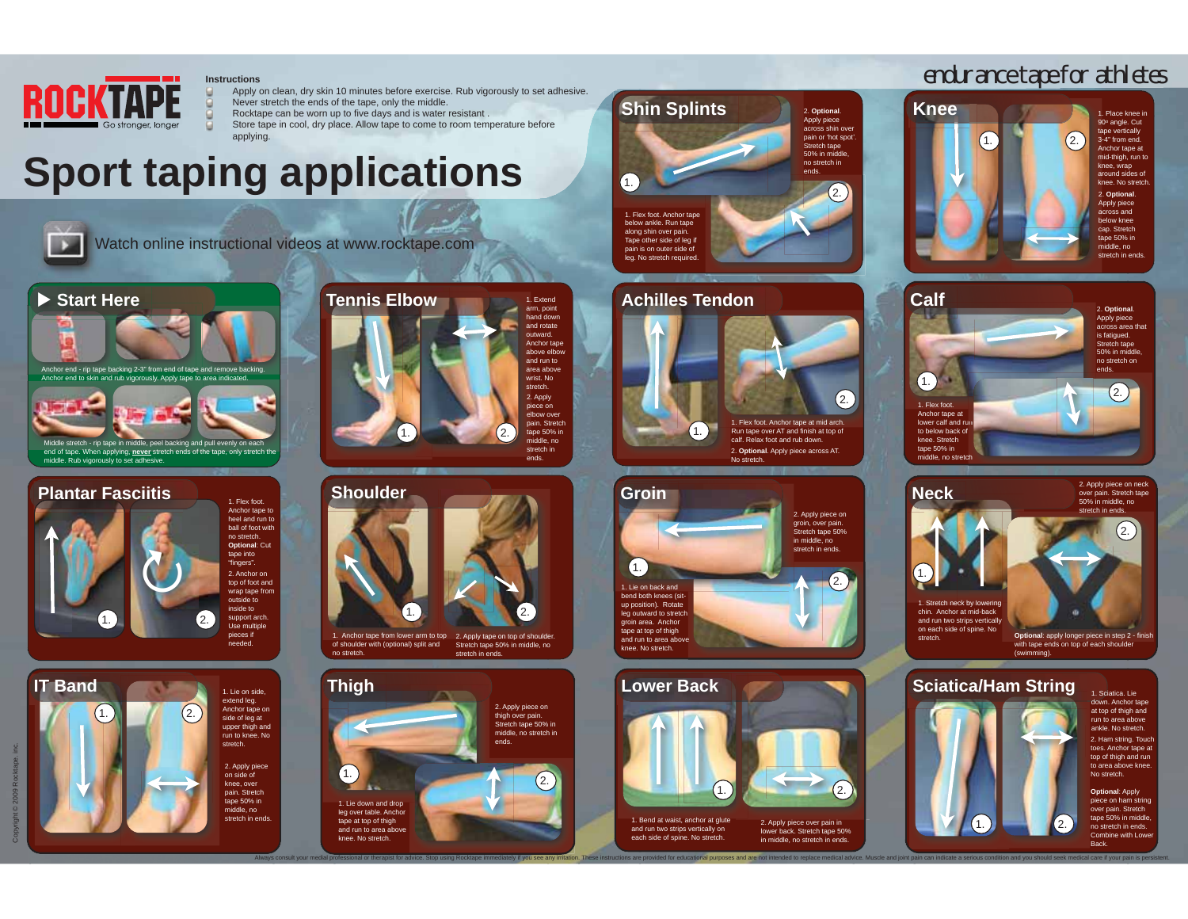

#### **Instructions**

- g. Apply on clean, dry skin 10 minutes before exercise. Rub vigorously to set adhesive. Never stretch the ends of the tape, only the middle.
- Rocktape can be worn up to five days and is water resistant .
- Store tape in cool, dry place. Allow tape to come to room temperature before
- applying.

## **Sport taping applications**



Watch online instructional videos at www.rocktape.com







 $\overline{2}$ . 1. Lie on side, extend leg. Anchor tape on side of leg at upper thigh and run to knee. No stretch.2. Apply piece on side of knee, over pain. Stretch  $t$ ape 50% in

> middle, no stretch in ends.

**Tennis Elbow** 1. Extend arm, point hand down and rotate outward. Anchor tape above elbo and run to area abov wrist. No. stretch.2. Apply piece on elbow over pain. Stretch tape 50% in middle, no stretch in ends. $^{\prime}$ 1.  $\mathcal{L}$ 





1. Flex foot. Anchor tape below ankle. Run tape along shin over pain. Tape other side of leg if pain is on outer side of leg. No stretch required. 1.**Shin Splints**

## **Achilles Tendon**

**Groin**

1.

1. Lie on back and

groin area. Anchor tape at top of thigh and run to area ab knee. No stretch.



2. Apply piece on groin, over pain. Stretch tape 50% in middle, no stretch in ends.

2.

2. **Optional**. Apply piece across shin over pain or 'hot spot Stretch tape<br>50% in middle, no stretch in ends.

2.

 $(2.1)$  bend both knees (situp position). Rotate  $\overline{\text{len}}$  outward to stretch



and run two strips vertically on each side of spine. No stretch. lower back. Stretch tape 50% in middle, no stretch in ends.

## endurance tape for athletes









1.

 $\blacksquare$  2.

1. Sciatica. Lie down. Anchor tape at top of thigh and run to area above ankle. No stretch.2. Ham string. Tou toes. Anchor tape at top of thigh and run to area above knee. No stretch.

**Optional**: Apply piece on ham string over pain. Stretch tape 50% in middle no stretch in ends. Combine with Low **Back** 

**IT Band**

 $1.$